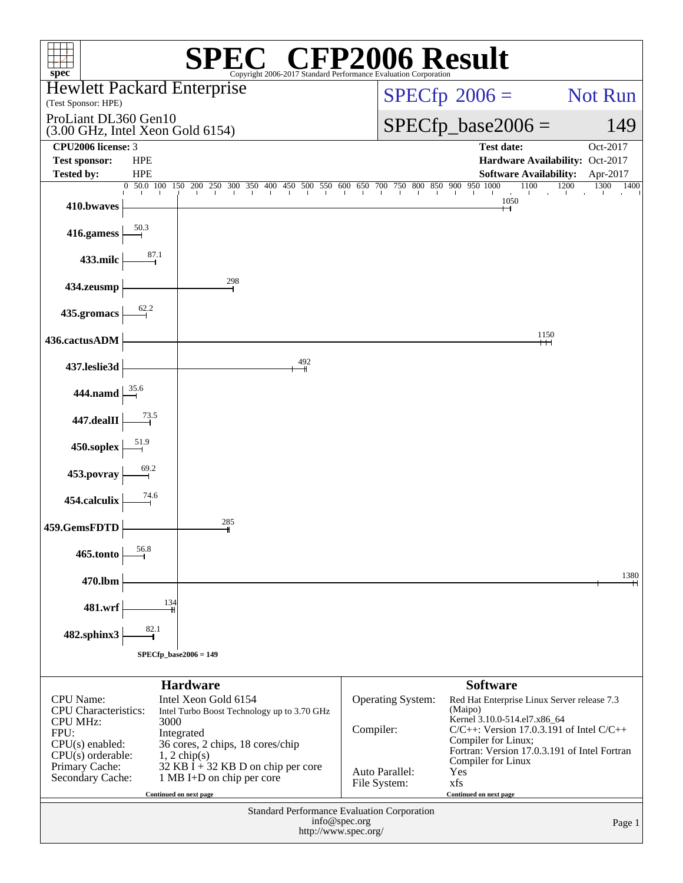| $spec^*$                                                                                                                                                     |                          | Copyright 2006-2017 Standard Performance Evaluation Corporation                                                                                                                                                                                                                                                                                                                                               | $\mathbb{C}^{\circledast}$ CFP2006 Result        |                                                                                                                                                                                                                                             |                                  |
|--------------------------------------------------------------------------------------------------------------------------------------------------------------|--------------------------|---------------------------------------------------------------------------------------------------------------------------------------------------------------------------------------------------------------------------------------------------------------------------------------------------------------------------------------------------------------------------------------------------------------|--------------------------------------------------|---------------------------------------------------------------------------------------------------------------------------------------------------------------------------------------------------------------------------------------------|----------------------------------|
| <b>Hewlett Packard Enterprise</b>                                                                                                                            |                          |                                                                                                                                                                                                                                                                                                                                                                                                               |                                                  | $SPECfp^{\circ}2006 =$                                                                                                                                                                                                                      | Not Run                          |
| (Test Sponsor: HPE)                                                                                                                                          |                          |                                                                                                                                                                                                                                                                                                                                                                                                               |                                                  |                                                                                                                                                                                                                                             |                                  |
| ProLiant DL360 Gen10<br>$(3.00 \text{ GHz}, \text{Intel Xeon Gold } 6154)$                                                                                   |                          |                                                                                                                                                                                                                                                                                                                                                                                                               |                                                  | $SPECfp\_base2006 =$                                                                                                                                                                                                                        | 149                              |
| CPU2006 license: 3                                                                                                                                           |                          |                                                                                                                                                                                                                                                                                                                                                                                                               |                                                  | <b>Test date:</b>                                                                                                                                                                                                                           | Oct-2017                         |
| <b>Test sponsor:</b><br><b>Tested by:</b>                                                                                                                    | <b>HPE</b>               |                                                                                                                                                                                                                                                                                                                                                                                                               |                                                  | Hardware Availability: Oct-2017                                                                                                                                                                                                             |                                  |
|                                                                                                                                                              | <b>HPE</b><br>0 50.0 100 | $\frac{150}{1} \quad \frac{200}{1} \quad \frac{250}{1} \quad \frac{300}{1} \quad \frac{350}{1} \quad \frac{400}{1} \quad \frac{450}{1} \quad \frac{500}{1} \quad \frac{550}{1} \quad \frac{600}{1} \quad \frac{650}{1} \quad \frac{700}{1} \quad \frac{750}{1} \quad \frac{800}{1} \quad \frac{850}{1} \quad \frac{900}{1} \quad \frac{950}{1} \quad \frac{1000}{1} \quad \frac{1000}{1} \quad \frac{1000}{1$ |                                                  | <b>Software Availability:</b><br>1100                                                                                                                                                                                                       | Apr-2017<br>1200<br>1300<br>1400 |
| 410.bwaves                                                                                                                                                   |                          |                                                                                                                                                                                                                                                                                                                                                                                                               |                                                  | 1050                                                                                                                                                                                                                                        |                                  |
| 416.gamess                                                                                                                                                   | 50.3                     |                                                                                                                                                                                                                                                                                                                                                                                                               |                                                  |                                                                                                                                                                                                                                             |                                  |
| 433.milc                                                                                                                                                     | 87.1                     |                                                                                                                                                                                                                                                                                                                                                                                                               |                                                  |                                                                                                                                                                                                                                             |                                  |
| 434.zeusmp                                                                                                                                                   |                          | 298                                                                                                                                                                                                                                                                                                                                                                                                           |                                                  |                                                                                                                                                                                                                                             |                                  |
| 435.gromacs                                                                                                                                                  | 62.2                     |                                                                                                                                                                                                                                                                                                                                                                                                               |                                                  |                                                                                                                                                                                                                                             |                                  |
| 436.cactusADM                                                                                                                                                |                          |                                                                                                                                                                                                                                                                                                                                                                                                               |                                                  | 1150<br>┿┿┥                                                                                                                                                                                                                                 |                                  |
| 437.leslie3d                                                                                                                                                 |                          | 492                                                                                                                                                                                                                                                                                                                                                                                                           |                                                  |                                                                                                                                                                                                                                             |                                  |
| 444.namd                                                                                                                                                     | 35.6                     |                                                                                                                                                                                                                                                                                                                                                                                                               |                                                  |                                                                                                                                                                                                                                             |                                  |
| 447.dealII                                                                                                                                                   | 73.5                     |                                                                                                                                                                                                                                                                                                                                                                                                               |                                                  |                                                                                                                                                                                                                                             |                                  |
| 450.soplex                                                                                                                                                   | 51.9<br>69.2             |                                                                                                                                                                                                                                                                                                                                                                                                               |                                                  |                                                                                                                                                                                                                                             |                                  |
| 453.povray                                                                                                                                                   | 74.6                     |                                                                                                                                                                                                                                                                                                                                                                                                               |                                                  |                                                                                                                                                                                                                                             |                                  |
| 454.calculix<br>459.GemsFDTD                                                                                                                                 |                          | 285                                                                                                                                                                                                                                                                                                                                                                                                           |                                                  |                                                                                                                                                                                                                                             |                                  |
| 465.tonto                                                                                                                                                    | 56.8                     |                                                                                                                                                                                                                                                                                                                                                                                                               |                                                  |                                                                                                                                                                                                                                             |                                  |
| 470.lbm                                                                                                                                                      |                          |                                                                                                                                                                                                                                                                                                                                                                                                               |                                                  |                                                                                                                                                                                                                                             | 1380                             |
| 481.wrf                                                                                                                                                      | 134                      |                                                                                                                                                                                                                                                                                                                                                                                                               |                                                  |                                                                                                                                                                                                                                             |                                  |
| 482.sphinx3                                                                                                                                                  | 82.1                     |                                                                                                                                                                                                                                                                                                                                                                                                               |                                                  |                                                                                                                                                                                                                                             |                                  |
|                                                                                                                                                              | $SPECfp\_base2006 = 149$ |                                                                                                                                                                                                                                                                                                                                                                                                               |                                                  |                                                                                                                                                                                                                                             |                                  |
|                                                                                                                                                              |                          | <b>Hardware</b>                                                                                                                                                                                                                                                                                                                                                                                               |                                                  | <b>Software</b>                                                                                                                                                                                                                             |                                  |
| <b>CPU</b> Name:<br><b>CPU</b> Characteristics:<br><b>CPU MHz:</b><br>FPU:<br>$CPU(s)$ enabled:<br>$CPU(s)$ orderable:<br>Primary Cache:<br>Secondary Cache: | 3000                     | Intel Xeon Gold 6154<br>Intel Turbo Boost Technology up to 3.70 GHz<br>Integrated<br>36 cores, 2 chips, 18 cores/chip<br>$1, 2$ chip(s)<br>$32$ KB I + 32 KB D on chip per core<br>1 MB I+D on chip per core                                                                                                                                                                                                  | Operating System:<br>Compiler:<br>Auto Parallel: | Red Hat Enterprise Linux Server release 7.3<br>(Maipo)<br>Kernel 3.10.0-514.el7.x86_64<br>$C/C++$ : Version 17.0.3.191 of Intel $C/C++$<br>Compiler for Linux;<br>Fortran: Version 17.0.3.191 of Intel Fortran<br>Compiler for Linux<br>Yes |                                  |
|                                                                                                                                                              |                          | Continued on next page                                                                                                                                                                                                                                                                                                                                                                                        | File System:                                     | xfs<br>Continued on next page                                                                                                                                                                                                               |                                  |
| Standard Performance Evaluation Corporation<br>info@spec.org<br>Page 1<br>http://www.spec.org/                                                               |                          |                                                                                                                                                                                                                                                                                                                                                                                                               |                                                  |                                                                                                                                                                                                                                             |                                  |
|                                                                                                                                                              |                          |                                                                                                                                                                                                                                                                                                                                                                                                               |                                                  |                                                                                                                                                                                                                                             |                                  |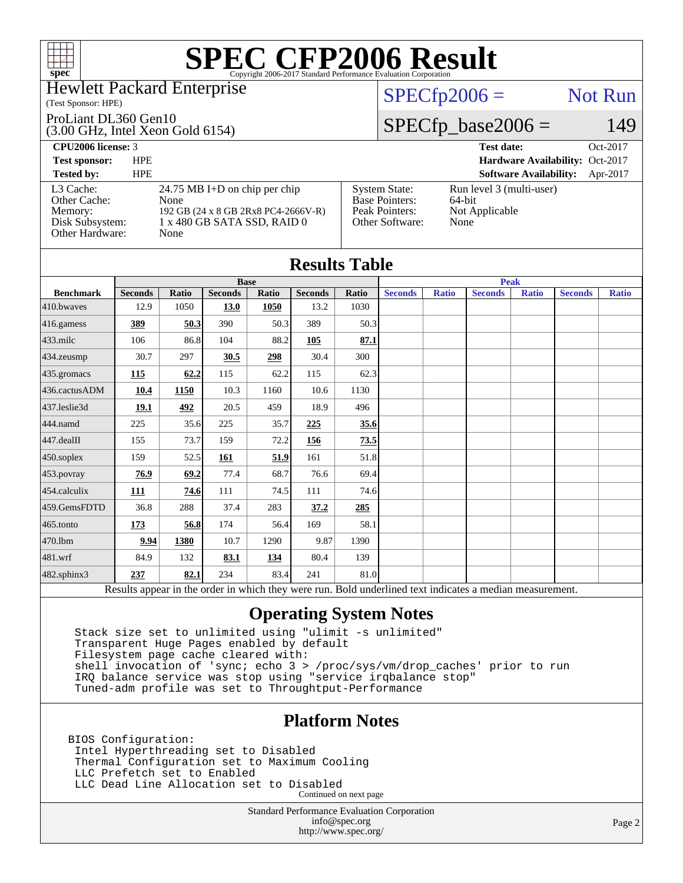

### Hewlett Packard Enterprise

### (Test Sponsor: HPE)

### ProLiant DL360 Gen10

(3.00 GHz, Intel Xeon Gold 6154)

## $SPECfp2006 =$  Not Run

## $SPECfp\_base2006 = 149$

| <b>CPU2006 license: 3</b>                                                  |                                                                                                                     | Oct-2017<br><b>Test date:</b>                                                      |                                                              |
|----------------------------------------------------------------------------|---------------------------------------------------------------------------------------------------------------------|------------------------------------------------------------------------------------|--------------------------------------------------------------|
| <b>Test sponsor:</b>                                                       | <b>HPE</b>                                                                                                          |                                                                                    | Hardware Availability: Oct-2017                              |
| <b>Tested by:</b>                                                          | <b>HPE</b>                                                                                                          |                                                                                    | <b>Software Availability:</b><br>Apr-2017                    |
| L3 Cache:<br>Other Cache:<br>Memory:<br>Disk Subsystem:<br>Other Hardware: | 24.75 MB I+D on chip per chip<br>None<br>192 GB (24 x 8 GB 2Rx8 PC4-2666V-R)<br>1 x 480 GB SATA SSD, RAID 0<br>None | <b>System State:</b><br><b>Base Pointers:</b><br>Peak Pointers:<br>Other Software: | Run level 3 (multi-user)<br>64-bit<br>Not Applicable<br>None |

| <b>Results Table</b>   |                                                                                                          |             |                |            |                |             |                |              |                |              |                |              |
|------------------------|----------------------------------------------------------------------------------------------------------|-------------|----------------|------------|----------------|-------------|----------------|--------------|----------------|--------------|----------------|--------------|
|                        | <b>Base</b>                                                                                              |             |                |            |                | <b>Peak</b> |                |              |                |              |                |              |
| <b>Benchmark</b>       | <b>Seconds</b>                                                                                           | Ratio       | <b>Seconds</b> | Ratio      | <b>Seconds</b> | Ratio       | <b>Seconds</b> | <b>Ratio</b> | <b>Seconds</b> | <b>Ratio</b> | <b>Seconds</b> | <b>Ratio</b> |
| 410.bwayes             | 12.9                                                                                                     | 1050        | 13.0           | 1050       | 13.2           | 1030        |                |              |                |              |                |              |
| 416.gamess             | 389                                                                                                      | 50.3        | 390            | 50.3       | 389            | 50.3        |                |              |                |              |                |              |
| $433$ .milc            | 106                                                                                                      | 86.8        | 104            | 88.2       | 105            | 87.1        |                |              |                |              |                |              |
| $434$ . zeusmp         | 30.7                                                                                                     | 297         | 30.5           | 298        | 30.4           | 300         |                |              |                |              |                |              |
| 435.gromacs            | 115                                                                                                      | 62.2        | 115            | 62.2       | 115            | 62.3        |                |              |                |              |                |              |
| 436.cactusADM          | 10.4                                                                                                     | <b>1150</b> | 10.3           | 1160       | 10.6           | 1130        |                |              |                |              |                |              |
| $437$ .leslie $3d$     | 19.1                                                                                                     | 492         | 20.5           | 459        | 18.9           | 496         |                |              |                |              |                |              |
| 444.namd               | 225                                                                                                      | 35.6        | 225            | 35.7       | 225            | 35.6        |                |              |                |              |                |              |
| $ 447 \text{.}$ dealII | 155                                                                                                      | 73.7        | 159            | 72.2       | 156            | 73.5        |                |              |                |              |                |              |
| $450$ .soplex          | 159                                                                                                      | 52.5        | 161            | 51.9       | 161            | 51.8        |                |              |                |              |                |              |
| 453.povray             | 76.9                                                                                                     | 69.2        | 77.4           | 68.7       | 76.6           | 69.4        |                |              |                |              |                |              |
| 454.calculix           | 111                                                                                                      | 74.6        | 111            | 74.5       | 111            | 74.6        |                |              |                |              |                |              |
| 459.GemsFDTD           | 36.8                                                                                                     | 288         | 37.4           | 283        | 37.2           | 285         |                |              |                |              |                |              |
| $465$ .tonto           | 173                                                                                                      | 56.8        | 174            | 56.4       | 169            | 58.1        |                |              |                |              |                |              |
| 470.1bm                | 9.94                                                                                                     | 1380        | 10.7           | 1290       | 9.87           | 1390        |                |              |                |              |                |              |
| 481.wrf                | 84.9                                                                                                     | 132         | 83.1           | <u>134</u> | 80.4           | 139         |                |              |                |              |                |              |
| 482.sphinx3            | 237                                                                                                      | 82.1        | 234            | 83.4       | 241            | 81.0        |                |              |                |              |                |              |
|                        | Results appear in the order in which they were run. Bold underlined text indicates a median measurement. |             |                |            |                |             |                |              |                |              |                |              |

## **[Operating System Notes](http://www.spec.org/auto/cpu2006/Docs/result-fields.html#OperatingSystemNotes)**

 Stack size set to unlimited using "ulimit -s unlimited" Transparent Huge Pages enabled by default Filesystem page cache cleared with: shell invocation of 'sync; echo 3 > /proc/sys/vm/drop\_caches' prior to run IRQ balance service was stop using "service irqbalance stop" Tuned-adm profile was set to Throughtput-Performance

## **[Platform Notes](http://www.spec.org/auto/cpu2006/Docs/result-fields.html#PlatformNotes)**

BIOS Configuration: Intel Hyperthreading set to Disabled Thermal Configuration set to Maximum Cooling LLC Prefetch set to Enabled LLC Dead Line Allocation set to Disabled Continued on next page

> Standard Performance Evaluation Corporation [info@spec.org](mailto:info@spec.org) <http://www.spec.org/>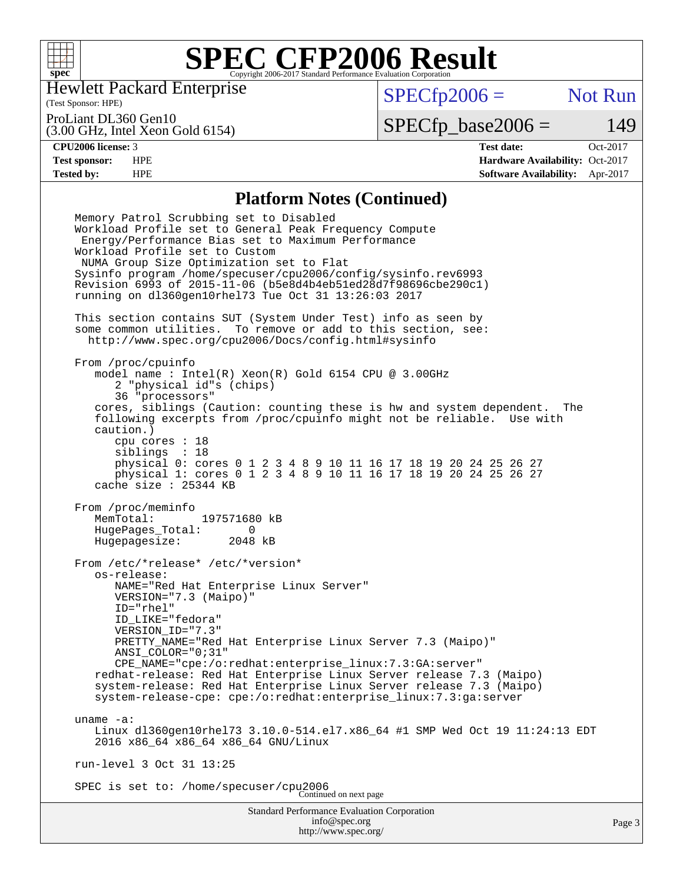

Hewlett Packard Enterprise

(Test Sponsor: HPE)

 $SPECfp2006 =$  Not Run

ProLiant DL360 Gen10

(3.00 GHz, Intel Xeon Gold 6154)

 $SPECTp\_base2006 = 149$ 

**[CPU2006 license:](http://www.spec.org/auto/cpu2006/Docs/result-fields.html#CPU2006license)** 3 **[Test date:](http://www.spec.org/auto/cpu2006/Docs/result-fields.html#Testdate)** Oct-2017 **[Test sponsor:](http://www.spec.org/auto/cpu2006/Docs/result-fields.html#Testsponsor)** HPE **[Hardware Availability:](http://www.spec.org/auto/cpu2006/Docs/result-fields.html#HardwareAvailability)** Oct-2017 **[Tested by:](http://www.spec.org/auto/cpu2006/Docs/result-fields.html#Testedby)** HPE **[Software Availability:](http://www.spec.org/auto/cpu2006/Docs/result-fields.html#SoftwareAvailability)** Apr-2017

### **[Platform Notes \(Continued\)](http://www.spec.org/auto/cpu2006/Docs/result-fields.html#PlatformNotes)**

Standard Performance Evaluation Corporation [info@spec.org](mailto:info@spec.org) <http://www.spec.org/> Page 3 Memory Patrol Scrubbing set to Disabled Workload Profile set to General Peak Frequency Compute Energy/Performance Bias set to Maximum Performance Workload Profile set to Custom NUMA Group Size Optimization set to Flat Sysinfo program /home/specuser/cpu2006/config/sysinfo.rev6993 Revision 6993 of 2015-11-06 (b5e8d4b4eb51ed28d7f98696cbe290c1) running on dl360gen10rhel73 Tue Oct 31 13:26:03 2017 This section contains SUT (System Under Test) info as seen by some common utilities. To remove or add to this section, see: <http://www.spec.org/cpu2006/Docs/config.html#sysinfo> From /proc/cpuinfo model name : Intel(R) Xeon(R) Gold 6154 CPU @ 3.00GHz 2 "physical id"s (chips) 36 "processors" cores, siblings (Caution: counting these is hw and system dependent. The following excerpts from /proc/cpuinfo might not be reliable. Use with caution.) cpu cores : 18 siblings : 18 physical 0: cores 0 1 2 3 4 8 9 10 11 16 17 18 19 20 24 25 26 27 physical 1: cores 0 1 2 3 4 8 9 10 11 16 17 18 19 20 24 25 26 27 cache size : 25344 KB From /proc/meminfo<br>MemTotal: 197571680 kB MemTotal: HugePages\_Total: 0 Hugepagesize: 2048 kB From /etc/\*release\* /etc/\*version\* os-release: NAME="Red Hat Enterprise Linux Server" VERSION="7.3 (Maipo)" ID="rhel" ID\_LIKE="fedora" VERSION\_ID="7.3" PRETTY\_NAME="Red Hat Enterprise Linux Server 7.3 (Maipo)" ANSI\_COLOR="0;31" CPE\_NAME="cpe:/o:redhat:enterprise\_linux:7.3:GA:server" redhat-release: Red Hat Enterprise Linux Server release 7.3 (Maipo) system-release: Red Hat Enterprise Linux Server release 7.3 (Maipo) system-release-cpe: cpe:/o:redhat:enterprise\_linux:7.3:ga:server uname -a: Linux dl360gen10rhel73 3.10.0-514.el7.x86\_64 #1 SMP Wed Oct 19 11:24:13 EDT 2016 x86\_64 x86\_64 x86\_64 GNU/Linux run-level 3 Oct 31 13:25 SPEC is set to: /home/specuser/cpu2006 Continued on next page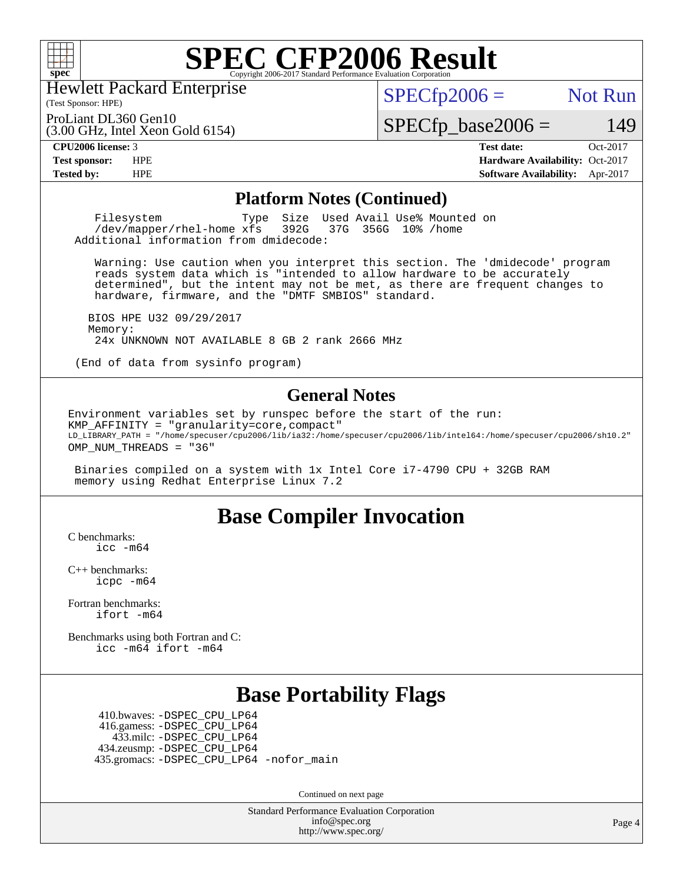

Hewlett Packard Enterprise

(Test Sponsor: HPE)

 $SPECTp2006 =$  Not Run

(3.00 GHz, Intel Xeon Gold 6154) ProLiant DL360 Gen10

 $SPECfp\_base2006 = 149$ 

**[CPU2006 license:](http://www.spec.org/auto/cpu2006/Docs/result-fields.html#CPU2006license)** 3 **[Test date:](http://www.spec.org/auto/cpu2006/Docs/result-fields.html#Testdate)** Oct-2017 **[Test sponsor:](http://www.spec.org/auto/cpu2006/Docs/result-fields.html#Testsponsor)** HPE **[Hardware Availability:](http://www.spec.org/auto/cpu2006/Docs/result-fields.html#HardwareAvailability)** Oct-2017 **[Tested by:](http://www.spec.org/auto/cpu2006/Docs/result-fields.html#Testedby)** HPE **[Software Availability:](http://www.spec.org/auto/cpu2006/Docs/result-fields.html#SoftwareAvailability)** Apr-2017

### **[Platform Notes \(Continued\)](http://www.spec.org/auto/cpu2006/Docs/result-fields.html#PlatformNotes)**

Filesystem Type Size Used Avail Use% Mounted on<br>
/dev/mapper/rhel-home xfs 392G 37G 356G 10% /home  $/$ dev/mapper/rhel-home  $xf s$ Additional information from dmidecode:

 Warning: Use caution when you interpret this section. The 'dmidecode' program reads system data which is "intended to allow hardware to be accurately determined", but the intent may not be met, as there are frequent changes to hardware, firmware, and the "DMTF SMBIOS" standard.

 BIOS HPE U32 09/29/2017 Memory: 24x UNKNOWN NOT AVAILABLE 8 GB 2 rank 2666 MHz

(End of data from sysinfo program)

### **[General Notes](http://www.spec.org/auto/cpu2006/Docs/result-fields.html#GeneralNotes)**

Environment variables set by runspec before the start of the run: KMP\_AFFINITY = "granularity=core,compact" LD\_LIBRARY\_PATH = "/home/specuser/cpu2006/lib/ia32:/home/specuser/cpu2006/lib/intel64:/home/specuser/cpu2006/sh10.2" OMP\_NUM\_THREADS = "36"

 Binaries compiled on a system with 1x Intel Core i7-4790 CPU + 32GB RAM memory using Redhat Enterprise Linux 7.2

# **[Base Compiler Invocation](http://www.spec.org/auto/cpu2006/Docs/result-fields.html#BaseCompilerInvocation)**

[C benchmarks](http://www.spec.org/auto/cpu2006/Docs/result-fields.html#Cbenchmarks): [icc -m64](http://www.spec.org/cpu2006/results/res2017q4/cpu2006-20171114-50591.flags.html#user_CCbase_intel_icc_64bit_bda6cc9af1fdbb0edc3795bac97ada53)

[C++ benchmarks:](http://www.spec.org/auto/cpu2006/Docs/result-fields.html#CXXbenchmarks) [icpc -m64](http://www.spec.org/cpu2006/results/res2017q4/cpu2006-20171114-50591.flags.html#user_CXXbase_intel_icpc_64bit_fc66a5337ce925472a5c54ad6a0de310)

[Fortran benchmarks](http://www.spec.org/auto/cpu2006/Docs/result-fields.html#Fortranbenchmarks): [ifort -m64](http://www.spec.org/cpu2006/results/res2017q4/cpu2006-20171114-50591.flags.html#user_FCbase_intel_ifort_64bit_ee9d0fb25645d0210d97eb0527dcc06e)

[Benchmarks using both Fortran and C](http://www.spec.org/auto/cpu2006/Docs/result-fields.html#BenchmarksusingbothFortranandC): [icc -m64](http://www.spec.org/cpu2006/results/res2017q4/cpu2006-20171114-50591.flags.html#user_CC_FCbase_intel_icc_64bit_bda6cc9af1fdbb0edc3795bac97ada53) [ifort -m64](http://www.spec.org/cpu2006/results/res2017q4/cpu2006-20171114-50591.flags.html#user_CC_FCbase_intel_ifort_64bit_ee9d0fb25645d0210d97eb0527dcc06e)

# **[Base Portability Flags](http://www.spec.org/auto/cpu2006/Docs/result-fields.html#BasePortabilityFlags)**

 410.bwaves: [-DSPEC\\_CPU\\_LP64](http://www.spec.org/cpu2006/results/res2017q4/cpu2006-20171114-50591.flags.html#suite_basePORTABILITY410_bwaves_DSPEC_CPU_LP64) 416.gamess: [-DSPEC\\_CPU\\_LP64](http://www.spec.org/cpu2006/results/res2017q4/cpu2006-20171114-50591.flags.html#suite_basePORTABILITY416_gamess_DSPEC_CPU_LP64) 433.milc: [-DSPEC\\_CPU\\_LP64](http://www.spec.org/cpu2006/results/res2017q4/cpu2006-20171114-50591.flags.html#suite_basePORTABILITY433_milc_DSPEC_CPU_LP64) 434.zeusmp: [-DSPEC\\_CPU\\_LP64](http://www.spec.org/cpu2006/results/res2017q4/cpu2006-20171114-50591.flags.html#suite_basePORTABILITY434_zeusmp_DSPEC_CPU_LP64) 435.gromacs: [-DSPEC\\_CPU\\_LP64](http://www.spec.org/cpu2006/results/res2017q4/cpu2006-20171114-50591.flags.html#suite_basePORTABILITY435_gromacs_DSPEC_CPU_LP64) [-nofor\\_main](http://www.spec.org/cpu2006/results/res2017q4/cpu2006-20171114-50591.flags.html#user_baseLDPORTABILITY435_gromacs_f-nofor_main)

Continued on next page

Standard Performance Evaluation Corporation [info@spec.org](mailto:info@spec.org) <http://www.spec.org/>